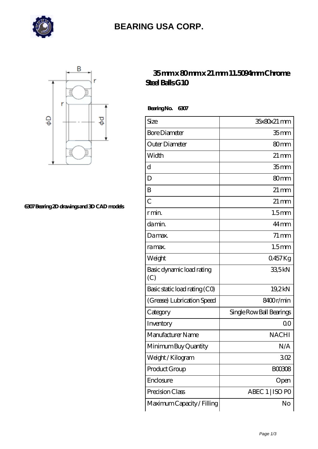

## **[BEARING USA CORP.](https://hathaykhongbanghayhat.org)**



**[6307 Bearing 2D drawings and 3D CAD models](https://hathaykhongbanghayhat.org/pic-683988.html)**

## **[35 mm x 80 mm x 21 mm 11.5094mm Chrome](https://hathaykhongbanghayhat.org/by-683988-11-5094mm-chrome-steel-balls-g10.html) [Steel Balls G10](https://hathaykhongbanghayhat.org/by-683988-11-5094mm-chrome-steel-balls-g10.html)**

 **Bearing No. 6307**

| Size                             | 35x80x21 mm              |
|----------------------------------|--------------------------|
| <b>Bore Diameter</b>             | 35 <sub>mm</sub>         |
| Outer Diameter                   | 80 <sub>mm</sub>         |
| Width                            | $21 \,\mathrm{mm}$       |
| $\mathbf d$                      | 35mm                     |
| D                                | 80 <sub>mm</sub>         |
| B                                | $21 \,\mathrm{mm}$       |
| $\overline{C}$                   | $21 \,\mathrm{mm}$       |
| r min.                           | 1.5 <sub>mm</sub>        |
| da min.                          | 44 mm                    |
| Da max.                          | $71 \,\mathrm{mm}$       |
| ra max.                          | 1.5 <sub>mm</sub>        |
| Weight                           | 0457Kg                   |
| Basic dynamic load rating<br>(C) | 335kN                    |
| Basic static load rating (CO)    | 19,2kN                   |
| (Grease) Lubrication Speed       | 8400r/min                |
| Category                         | Single Row Ball Bearings |
| Inventory                        | 0 <sup>0</sup>           |
| Manufacturer Name                | <b>NACHI</b>             |
| Minimum Buy Quantity             | N/A                      |
| Weight / Kilogram                | 302                      |
| Product Group                    | <b>BOO3O8</b>            |
| Enclosure                        | Open                     |
| Precision Class                  | ABEC 1   ISO PO          |
| Maximum Capacity / Filling       | No                       |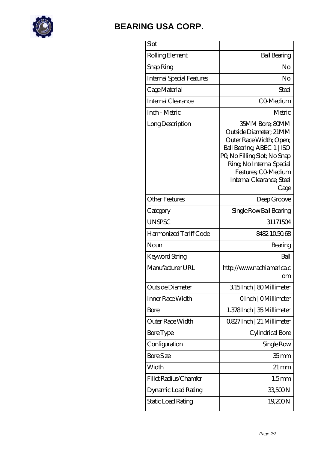

## **[BEARING USA CORP.](https://hathaykhongbanghayhat.org)**

| Slot                             |                                                                                                                                                                                                                           |
|----------------------------------|---------------------------------------------------------------------------------------------------------------------------------------------------------------------------------------------------------------------------|
| Rolling Element                  | <b>Ball Bearing</b>                                                                                                                                                                                                       |
| Snap Ring                        | No                                                                                                                                                                                                                        |
| <b>Internal Special Features</b> | No                                                                                                                                                                                                                        |
| Cage Material                    | Steel                                                                                                                                                                                                                     |
| <b>Internal Clearance</b>        | C <sub>O</sub> Medium                                                                                                                                                                                                     |
| Inch - Metric                    | Metric                                                                                                                                                                                                                    |
| Long Description                 | 35MM Bore; 80MM<br>Outside Diameter; 21MM<br>Outer Race Width; Open;<br>Ball Bearing ABEC 1   ISO<br>PQ No Filling Slot; No Snap<br>Ring, No Internal Special<br>Features; CO-Medium<br>Internal Clearance; Steel<br>Cage |
| <b>Other Features</b>            | Deep Groove                                                                                                                                                                                                               |
| Category                         | Single Row Ball Bearing                                                                                                                                                                                                   |
| <b>UNSPSC</b>                    | 31171504                                                                                                                                                                                                                  |
| Harmonized Tariff Code           | 8482105068                                                                                                                                                                                                                |
| Noun                             | Bearing                                                                                                                                                                                                                   |
| Keyword String                   | Ball                                                                                                                                                                                                                      |
| Manufacturer URL                 | http://www.nachiamerica.c<br>om                                                                                                                                                                                           |
| Outside Diameter                 | 315Inch   80Millimeter                                                                                                                                                                                                    |
| Inner Race Width                 | OInch   OMillimeter                                                                                                                                                                                                       |
| <b>Bore</b>                      | 1.378Inch   35 Millimeter                                                                                                                                                                                                 |
| Outer Race Width                 | 0.827 Inch   21 Millimeter                                                                                                                                                                                                |
| <b>Bore Type</b>                 | Cylindrical Bore                                                                                                                                                                                                          |
| Configuration                    | Single Row                                                                                                                                                                                                                |
| <b>Bore Size</b>                 | 35 <sub>mm</sub>                                                                                                                                                                                                          |
| Width                            | $21 \,\mathrm{mm}$                                                                                                                                                                                                        |
| Fillet Radius/Chamfer            | 1.5 <sub>mm</sub>                                                                                                                                                                                                         |
| Dynamic Load Rating              | 33,500N                                                                                                                                                                                                                   |
| Static Load Rating               | 19,200N                                                                                                                                                                                                                   |